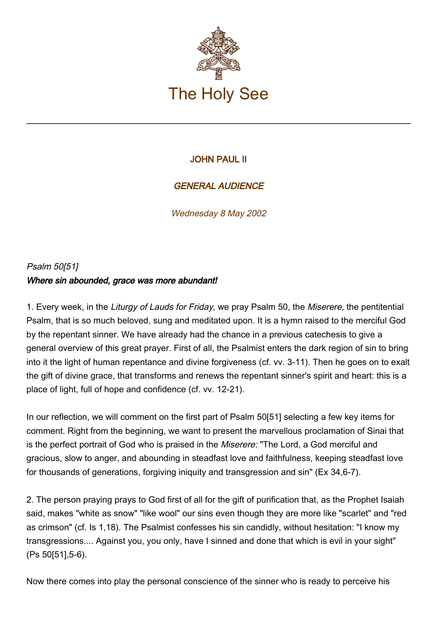

## JOHN PAUL II

## GENERAL AUDIENCE

Wednesday 8 May 2002

## Psalm 50[51] Where sin abounded, grace was more abundant!

1. Every week, in the Liturgy of Lauds for Friday, we pray Psalm 50, the Miserere, the pentitential Psalm, that is so much beloved, sung and meditated upon. It is a hymn raised to the merciful God by the repentant sinner. We have already had the chance in a previous catechesis to give a general overview of this great prayer. First of all, the Psalmist enters the dark region of sin to bring into it the light of human repentance and divine forgiveness (cf. vv. 3-11). Then he goes on to exalt the gift of divine grace, that transforms and renews the repentant sinner's spirit and heart: this is a place of light, full of hope and confidence (cf. vv. 12-21).

In our reflection, we will comment on the first part of Psalm 50[51] selecting a few key items for comment. Right from the beginning, we want to present the marvellous proclamation of Sinai that is the perfect portrait of God who is praised in the Miserere: "The Lord, a God merciful and gracious, slow to anger, and abounding in steadfast love and faithfulness, keeping steadfast love for thousands of generations, forgiving iniquity and transgression and sin" (Ex 34,6-7).

2. The person praying prays to God first of all for the gift of purification that, as the Prophet Isaiah said, makes "white as snow" "like wool" our sins even though they are more like "scarlet" and "red as crimson" (cf. Is 1,18). The Psalmist confesses his sin candidly, without hesitation: "I know my transgressions.... Against you, you only, have I sinned and done that which is evil in your sight" (Ps 50[51],5-6).

Now there comes into play the personal conscience of the sinner who is ready to perceive his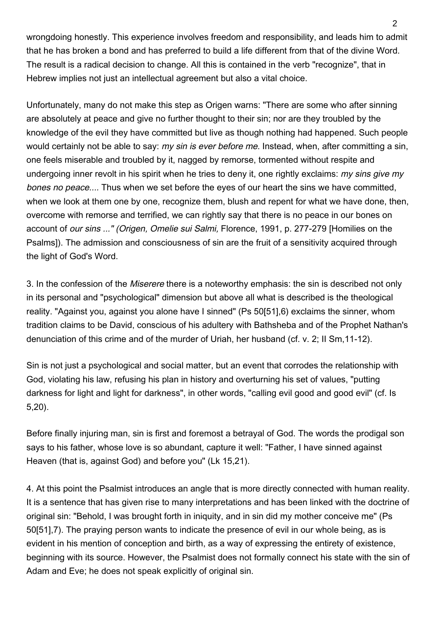wrongdoing honestly. This experience involves freedom and responsibility, and leads him to admit that he has broken a bond and has preferred to build a life different from that of the divine Word. The result is a radical decision to change. All this is contained in the verb "recognize", that in Hebrew implies not just an intellectual agreement but also a vital choice.

Unfortunately, many do not make this step as Origen warns: "There are some who after sinning are absolutely at peace and give no further thought to their sin; nor are they troubled by the knowledge of the evil they have committed but live as though nothing had happened. Such people would certainly not be able to say: my sin is ever before me. Instead, when, after committing a sin, one feels miserable and troubled by it, nagged by remorse, tormented without respite and undergoing inner revolt in his spirit when he tries to deny it, one rightly exclaims: *my sins give my* bones no peace.... Thus when we set before the eyes of our heart the sins we have committed, when we look at them one by one, recognize them, blush and repent for what we have done, then, overcome with remorse and terrified, we can rightly say that there is no peace in our bones on account of our sins ..." (Origen, Omelie sui Salmi, Florence, 1991, p. 277-279 [Homilies on the Psalms]). The admission and consciousness of sin are the fruit of a sensitivity acquired through the light of God's Word.

3. In the confession of the Miserere there is a noteworthy emphasis: the sin is described not only in its personal and "psychological" dimension but above all what is described is the theological reality. "Against you, against you alone have I sinned" (Ps 50[51],6) exclaims the sinner, whom tradition claims to be David, conscious of his adultery with Bathsheba and of the Prophet Nathan's denunciation of this crime and of the murder of Uriah, her husband (cf. v. 2; II Sm,11-12).

Sin is not just a psychological and social matter, but an event that corrodes the relationship with God, violating his law, refusing his plan in history and overturning his set of values, "putting darkness for light and light for darkness", in other words, "calling evil good and good evil" (cf. Is 5,20).

Before finally injuring man, sin is first and foremost a betrayal of God. The words the prodigal son says to his father, whose love is so abundant, capture it well: "Father, I have sinned against Heaven (that is, against God) and before you" (Lk 15,21).

4. At this point the Psalmist introduces an angle that is more directly connected with human reality. It is a sentence that has given rise to many interpretations and has been linked with the doctrine of original sin: "Behold, I was brought forth in iniquity, and in sin did my mother conceive me" (Ps 50[51],7). The praying person wants to indicate the presence of evil in our whole being, as is evident in his mention of conception and birth, as a way of expressing the entirety of existence, beginning with its source. However, the Psalmist does not formally connect his state with the sin of Adam and Eve; he does not speak explicitly of original sin.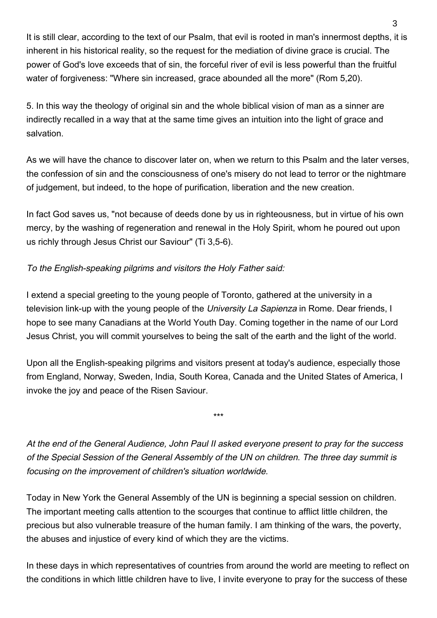It is still clear, according to the text of our Psalm, that evil is rooted in man's innermost depths, it is inherent in his historical reality, so the request for the mediation of divine grace is crucial. The power of God's love exceeds that of sin, the forceful river of evil is less powerful than the fruitful water of forgiveness: "Where sin increased, grace abounded all the more" (Rom 5,20).

5. In this way the theology of original sin and the whole biblical vision of man as a sinner are indirectly recalled in a way that at the same time gives an intuition into the light of grace and salvation.

As we will have the chance to discover later on, when we return to this Psalm and the later verses, the confession of sin and the consciousness of one's misery do not lead to terror or the nightmare of judgement, but indeed, to the hope of purification, liberation and the new creation.

In fact God saves us, "not because of deeds done by us in righteousness, but in virtue of his own mercy, by the washing of regeneration and renewal in the Holy Spirit, whom he poured out upon us richly through Jesus Christ our Saviour" (Ti 3,5-6).

## To the English-speaking pilgrims and visitors the Holy Father said:

I extend a special greeting to the young people of Toronto, gathered at the university in a television link-up with the young people of the University La Sapienza in Rome. Dear friends, I hope to see many Canadians at the World Youth Day. Coming together in the name of our Lord Jesus Christ, you will commit yourselves to being the salt of the earth and the light of the world.

Upon all the English-speaking pilgrims and visitors present at today's audience, especially those from England, Norway, Sweden, India, South Korea, Canada and the United States of America, I invoke the joy and peace of the Risen Saviour.

\*\*\*

At the end of the General Audience, John Paul II asked everyone present to pray for the success of the Special Session of the General Assembly of the UN on children. The three day summit is focusing on the improvement of children's situation worldwide.

Today in New York the General Assembly of the UN is beginning a special session on children. The important meeting calls attention to the scourges that continue to afflict little children, the precious but also vulnerable treasure of the human family. I am thinking of the wars, the poverty, the abuses and injustice of every kind of which they are the victims.

In these days in which representatives of countries from around the world are meeting to reflect on the conditions in which little children have to live, I invite everyone to pray for the success of these